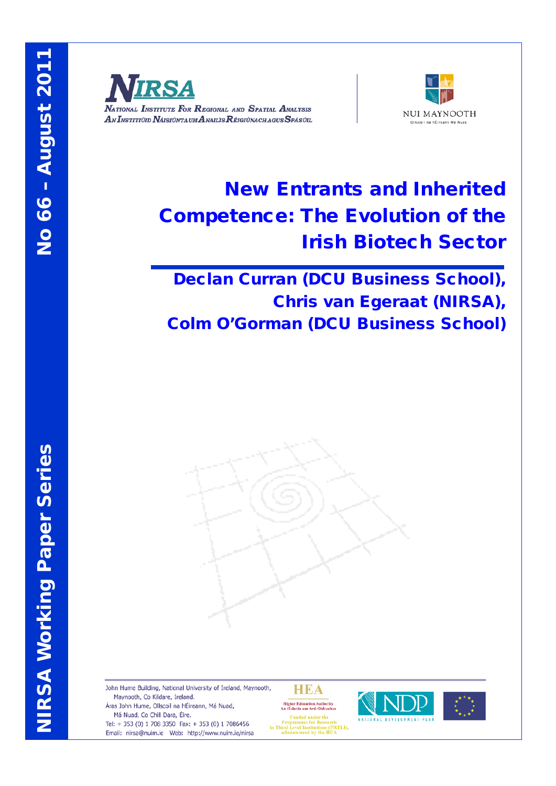

NATIONAL INSTITUTE FOR REGIONAL AND SPATIAL ANALYSIS AN INSTITIÚID NÁISIÚNTA UM ANAILIS RÉIGIÚNACH AGUS SPÁSÚIL



# New Entrants and Inherited Competence: The Evolution of the Irish Biotech Sector

Declan Curran (DCU Business School), Chris van Egeraat (NIRSA), Colm O'Gorman (DCU Business School)



John Hume Building, National University of Ireland, Maynooth, Maynooth, Co Kildare, Ireland. Áras John Hume, Ollscoil na hÉireann, Má Nuad, Má Nuad, Co Chill Dara, Éire.

Tel: + 353 (0) 1 708 3350 Fax: + 353 (0) 1 7086456 Email: nirsa@nuim.ie Web: http://www.nuim.ie/nirsa

**HEA** Higher Education Authority<br>An tÚdarás um Ard-Oideachas



Frogramme for Research<br>in Third Level Institutions (PRTLI),<br>administered by the HEA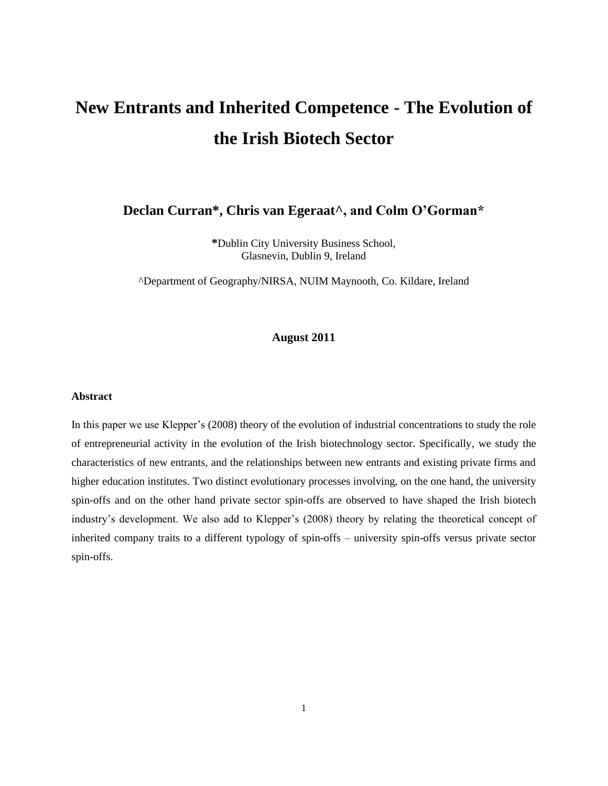# **New Entrants and Inherited Competence - The Evolution of the Irish Biotech Sector**

**Declan Curran\*, Chris van Egeraat^, and Colm O'Gorman\***

**\***Dublin City University Business School, Glasnevin, Dublin 9, Ireland

^Department of Geography/NIRSA, NUIM Maynooth, Co. Kildare, Ireland

# **August 2011**

#### **Abstract**

In this paper we use Klepper"s (2008) theory of the evolution of industrial concentrations to study the role of entrepreneurial activity in the evolution of the Irish biotechnology sector. Specifically, we study the characteristics of new entrants, and the relationships between new entrants and existing private firms and higher education institutes. Two distinct evolutionary processes involving, on the one hand, the university spin-offs and on the other hand private sector spin-offs are observed to have shaped the Irish biotech industry's development. We also add to Klepper's (2008) theory by relating the theoretical concept of inherited company traits to a different typology of spin-offs – university spin-offs versus private sector spin-offs.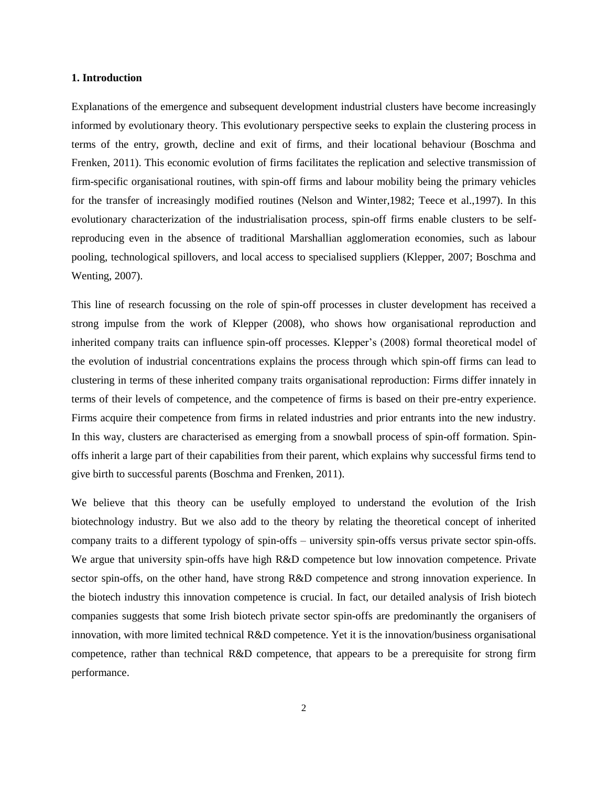#### **1. Introduction**

Explanations of the emergence and subsequent development industrial clusters have become increasingly informed by evolutionary theory. This evolutionary perspective seeks to explain the clustering process in terms of the entry, growth, decline and exit of firms, and their locational behaviour (Boschma and Frenken, 2011). This economic evolution of firms facilitates the replication and selective transmission of firm-specific organisational routines, with spin-off firms and labour mobility being the primary vehicles for the transfer of increasingly modified routines (Nelson and Winter,1982; Teece et al.,1997). In this evolutionary characterization of the industrialisation process, spin-off firms enable clusters to be selfreproducing even in the absence of traditional Marshallian agglomeration economies, such as labour pooling, technological spillovers, and local access to specialised suppliers (Klepper, 2007; Boschma and Wenting, 2007).

This line of research focussing on the role of spin-off processes in cluster development has received a strong impulse from the work of Klepper (2008), who shows how organisational reproduction and inherited company traits can influence spin-off processes. Klepper"s (2008) formal theoretical model of the evolution of industrial concentrations explains the process through which spin-off firms can lead to clustering in terms of these inherited company traits organisational reproduction: Firms differ innately in terms of their levels of competence, and the competence of firms is based on their pre-entry experience. Firms acquire their competence from firms in related industries and prior entrants into the new industry. In this way, clusters are characterised as emerging from a snowball process of spin-off formation. Spinoffs inherit a large part of their capabilities from their parent, which explains why successful firms tend to give birth to successful parents (Boschma and Frenken, 2011).

We believe that this theory can be usefully employed to understand the evolution of the Irish biotechnology industry. But we also add to the theory by relating the theoretical concept of inherited company traits to a different typology of spin-offs – university spin-offs versus private sector spin-offs. We argue that university spin-offs have high R&D competence but low innovation competence. Private sector spin-offs, on the other hand, have strong R&D competence and strong innovation experience. In the biotech industry this innovation competence is crucial. In fact, our detailed analysis of Irish biotech companies suggests that some Irish biotech private sector spin-offs are predominantly the organisers of innovation, with more limited technical R&D competence. Yet it is the innovation/business organisational competence, rather than technical R&D competence, that appears to be a prerequisite for strong firm performance.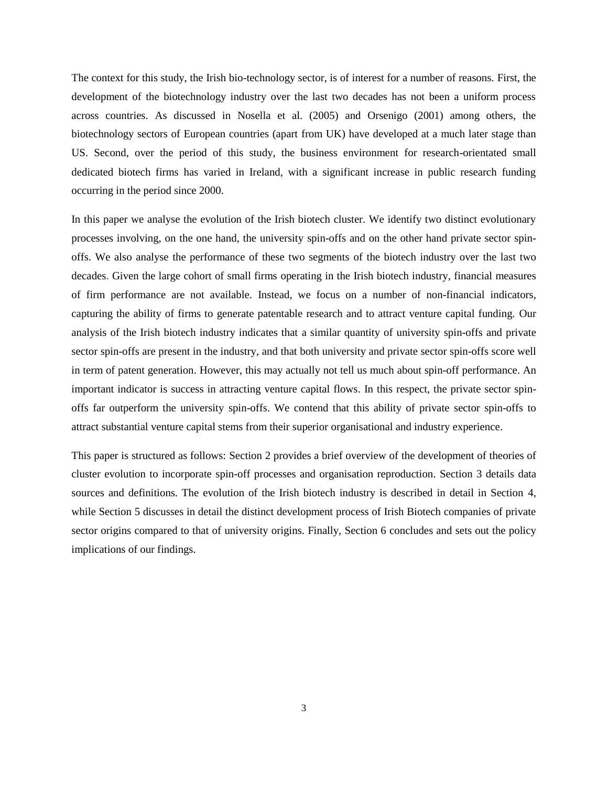The context for this study, the Irish bio-technology sector, is of interest for a number of reasons. First, the development of the biotechnology industry over the last two decades has not been a uniform process across countries. As discussed in Nosella et al. (2005) and Orsenigo (2001) among others, the biotechnology sectors of European countries (apart from UK) have developed at a much later stage than US. Second, over the period of this study, the business environment for research-orientated small dedicated biotech firms has varied in Ireland, with a significant increase in public research funding occurring in the period since 2000.

In this paper we analyse the evolution of the Irish biotech cluster. We identify two distinct evolutionary processes involving, on the one hand, the university spin-offs and on the other hand private sector spinoffs. We also analyse the performance of these two segments of the biotech industry over the last two decades. Given the large cohort of small firms operating in the Irish biotech industry, financial measures of firm performance are not available. Instead, we focus on a number of non-financial indicators, capturing the ability of firms to generate patentable research and to attract venture capital funding. Our analysis of the Irish biotech industry indicates that a similar quantity of university spin-offs and private sector spin-offs are present in the industry, and that both university and private sector spin-offs score well in term of patent generation. However, this may actually not tell us much about spin-off performance. An important indicator is success in attracting venture capital flows. In this respect, the private sector spinoffs far outperform the university spin-offs. We contend that this ability of private sector spin-offs to attract substantial venture capital stems from their superior organisational and industry experience.

This paper is structured as follows: Section 2 provides a brief overview of the development of theories of cluster evolution to incorporate spin-off processes and organisation reproduction. Section 3 details data sources and definitions. The evolution of the Irish biotech industry is described in detail in Section 4, while Section 5 discusses in detail the distinct development process of Irish Biotech companies of private sector origins compared to that of university origins. Finally, Section 6 concludes and sets out the policy implications of our findings.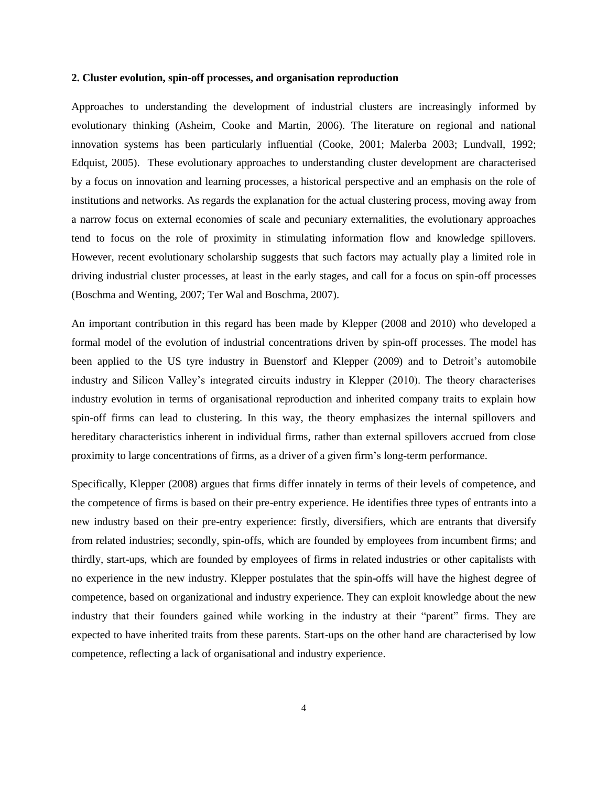#### **2. Cluster evolution, spin-off processes, and organisation reproduction**

Approaches to understanding the development of industrial clusters are increasingly informed by evolutionary thinking (Asheim, Cooke and Martin, 2006). The literature on regional and national innovation systems has been particularly influential (Cooke, 2001; Malerba 2003; Lundvall, 1992; Edquist, 2005). These evolutionary approaches to understanding cluster development are characterised by a focus on innovation and learning processes, a historical perspective and an emphasis on the role of institutions and networks. As regards the explanation for the actual clustering process, moving away from a narrow focus on external economies of scale and pecuniary externalities, the evolutionary approaches tend to focus on the role of proximity in stimulating information flow and knowledge spillovers. However, recent evolutionary scholarship suggests that such factors may actually play a limited role in driving industrial cluster processes, at least in the early stages, and call for a focus on spin-off processes (Boschma and Wenting, 2007; Ter Wal and Boschma, 2007).

An important contribution in this regard has been made by Klepper (2008 and 2010) who developed a formal model of the evolution of industrial concentrations driven by spin-off processes. The model has been applied to the US tyre industry in Buenstorf and Klepper (2009) and to Detroit's automobile industry and Silicon Valley"s integrated circuits industry in Klepper (2010). The theory characterises industry evolution in terms of organisational reproduction and inherited company traits to explain how spin-off firms can lead to clustering. In this way, the theory emphasizes the internal spillovers and hereditary characteristics inherent in individual firms, rather than external spillovers accrued from close proximity to large concentrations of firms, as a driver of a given firm"s long-term performance.

Specifically, Klepper (2008) argues that firms differ innately in terms of their levels of competence, and the competence of firms is based on their pre-entry experience. He identifies three types of entrants into a new industry based on their pre-entry experience: firstly, diversifiers, which are entrants that diversify from related industries; secondly, spin-offs, which are founded by employees from incumbent firms; and thirdly, start-ups, which are founded by employees of firms in related industries or other capitalists with no experience in the new industry. Klepper postulates that the spin-offs will have the highest degree of competence, based on organizational and industry experience. They can exploit knowledge about the new industry that their founders gained while working in the industry at their "parent" firms. They are expected to have inherited traits from these parents. Start-ups on the other hand are characterised by low competence, reflecting a lack of organisational and industry experience.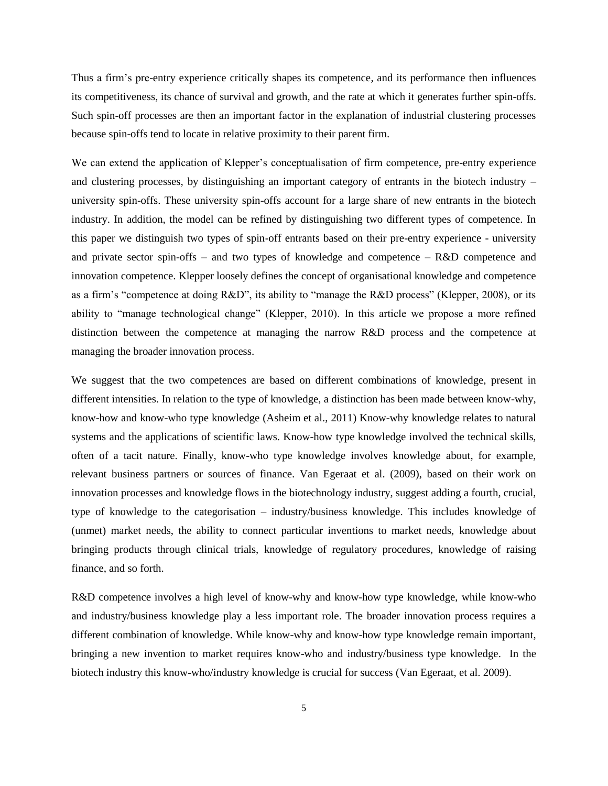Thus a firm"s pre-entry experience critically shapes its competence, and its performance then influences its competitiveness, its chance of survival and growth, and the rate at which it generates further spin-offs. Such spin-off processes are then an important factor in the explanation of industrial clustering processes because spin-offs tend to locate in relative proximity to their parent firm.

We can extend the application of Klepper's conceptualisation of firm competence, pre-entry experience and clustering processes, by distinguishing an important category of entrants in the biotech industry – university spin-offs. These university spin-offs account for a large share of new entrants in the biotech industry. In addition, the model can be refined by distinguishing two different types of competence. In this paper we distinguish two types of spin-off entrants based on their pre-entry experience - university and private sector spin-offs – and two types of knowledge and competence –  $R&D$  competence and innovation competence. Klepper loosely defines the concept of organisational knowledge and competence as a firm"s "competence at doing R&D", its ability to "manage the R&D process" (Klepper, 2008), or its ability to "manage technological change" (Klepper, 2010). In this article we propose a more refined distinction between the competence at managing the narrow R&D process and the competence at managing the broader innovation process.

We suggest that the two competences are based on different combinations of knowledge, present in different intensities. In relation to the type of knowledge, a distinction has been made between know-why, know-how and know-who type knowledge (Asheim et al., 2011) Know-why knowledge relates to natural systems and the applications of scientific laws. Know-how type knowledge involved the technical skills, often of a tacit nature. Finally, know-who type knowledge involves knowledge about, for example, relevant business partners or sources of finance. Van Egeraat et al. (2009), based on their work on innovation processes and knowledge flows in the biotechnology industry, suggest adding a fourth, crucial, type of knowledge to the categorisation – industry/business knowledge. This includes knowledge of (unmet) market needs, the ability to connect particular inventions to market needs, knowledge about bringing products through clinical trials, knowledge of regulatory procedures, knowledge of raising finance, and so forth.

R&D competence involves a high level of know-why and know-how type knowledge, while know-who and industry/business knowledge play a less important role. The broader innovation process requires a different combination of knowledge. While know-why and know-how type knowledge remain important, bringing a new invention to market requires know-who and industry/business type knowledge. In the biotech industry this know-who/industry knowledge is crucial for success (Van Egeraat, et al. 2009).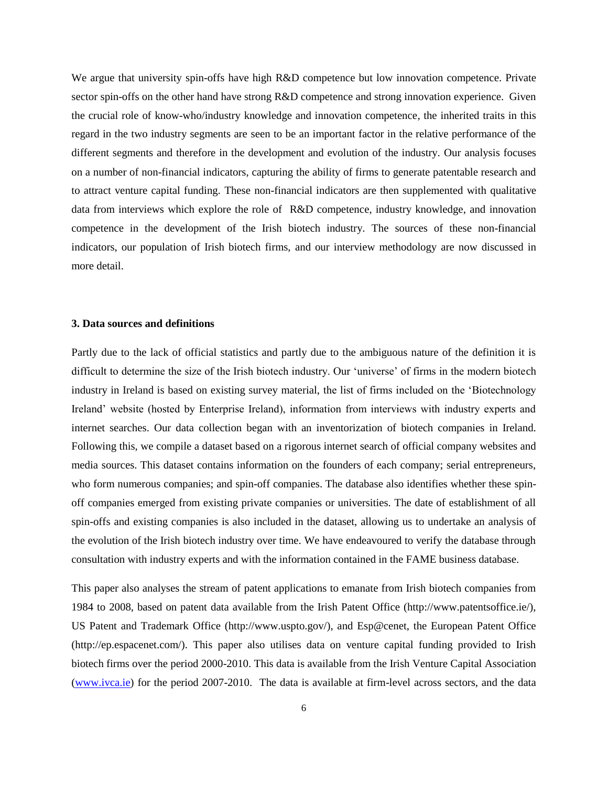We argue that university spin-offs have high R&D competence but low innovation competence. Private sector spin-offs on the other hand have strong R&D competence and strong innovation experience. Given the crucial role of know-who/industry knowledge and innovation competence, the inherited traits in this regard in the two industry segments are seen to be an important factor in the relative performance of the different segments and therefore in the development and evolution of the industry. Our analysis focuses on a number of non-financial indicators, capturing the ability of firms to generate patentable research and to attract venture capital funding. These non-financial indicators are then supplemented with qualitative data from interviews which explore the role of R&D competence, industry knowledge, and innovation competence in the development of the Irish biotech industry. The sources of these non-financial indicators, our population of Irish biotech firms, and our interview methodology are now discussed in more detail.

# **3. Data sources and definitions**

Partly due to the lack of official statistics and partly due to the ambiguous nature of the definition it is difficult to determine the size of the Irish biotech industry. Our "universe" of firms in the modern biotech industry in Ireland is based on existing survey material, the list of firms included on the "Biotechnology Ireland" website (hosted by Enterprise Ireland), information from interviews with industry experts and internet searches. Our data collection began with an inventorization of biotech companies in Ireland. Following this, we compile a dataset based on a rigorous internet search of official company websites and media sources. This dataset contains information on the founders of each company; serial entrepreneurs, who form numerous companies; and spin-off companies. The database also identifies whether these spinoff companies emerged from existing private companies or universities. The date of establishment of all spin-offs and existing companies is also included in the dataset, allowing us to undertake an analysis of the evolution of the Irish biotech industry over time. We have endeavoured to verify the database through consultation with industry experts and with the information contained in the FAME business database.

This paper also analyses the stream of patent applications to emanate from Irish biotech companies from 1984 to 2008, based on patent data available from the Irish Patent Office (http://www.patentsoffice.ie/), US Patent and Trademark Office (http://www.uspto.gov/), and Esp@cenet, the European Patent Office (http://ep.espacenet.com/). This paper also utilises data on venture capital funding provided to Irish biotech firms over the period 2000-2010. This data is available from the Irish Venture Capital Association [\(www.ivca.ie\)](http://www.ivca.ie/) for the period 2007-2010. The data is available at firm-level across sectors, and the data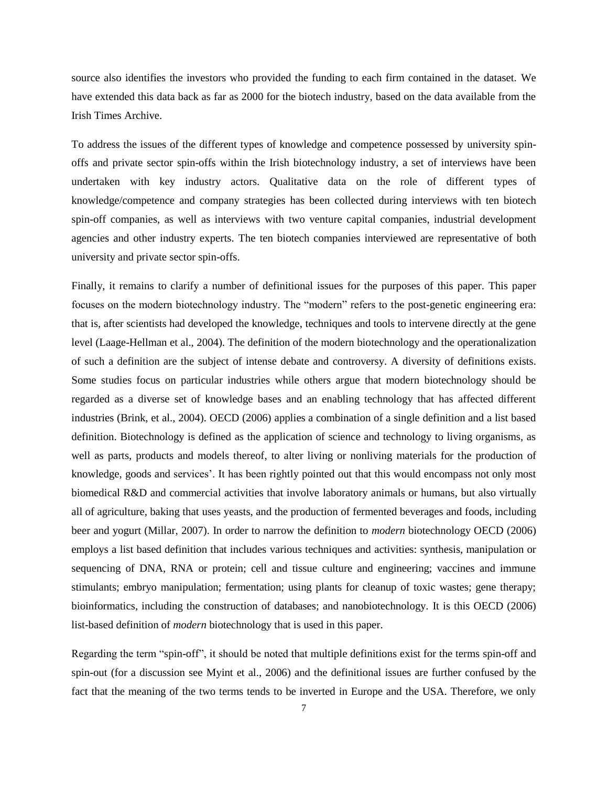source also identifies the investors who provided the funding to each firm contained in the dataset. We have extended this data back as far as 2000 for the biotech industry, based on the data available from the Irish Times Archive.

To address the issues of the different types of knowledge and competence possessed by university spinoffs and private sector spin-offs within the Irish biotechnology industry, a set of interviews have been undertaken with key industry actors. Qualitative data on the role of different types of knowledge/competence and company strategies has been collected during interviews with ten biotech spin-off companies, as well as interviews with two venture capital companies, industrial development agencies and other industry experts. The ten biotech companies interviewed are representative of both university and private sector spin-offs.

Finally, it remains to clarify a number of definitional issues for the purposes of this paper. This paper focuses on the modern biotechnology industry. The "modern" refers to the post-genetic engineering era: that is, after scientists had developed the knowledge, techniques and tools to intervene directly at the gene level (Laage-Hellman et al., 2004). The definition of the modern biotechnology and the operationalization of such a definition are the subject of intense debate and controversy. A diversity of definitions exists. Some studies focus on particular industries while others argue that modern biotechnology should be regarded as a diverse set of knowledge bases and an enabling technology that has affected different industries (Brink, et al., 2004). OECD (2006) applies a combination of a single definition and a list based definition. Biotechnology is defined as the application of science and technology to living organisms, as well as parts, products and models thereof, to alter living or nonliving materials for the production of knowledge, goods and services". It has been rightly pointed out that this would encompass not only most biomedical R&D and commercial activities that involve laboratory animals or humans, but also virtually all of agriculture, baking that uses yeasts, and the production of fermented beverages and foods, including beer and yogurt (Millar, 2007). In order to narrow the definition to *modern* biotechnology OECD (2006) employs a list based definition that includes various techniques and activities: synthesis, manipulation or sequencing of DNA, RNA or protein; cell and tissue culture and engineering; vaccines and immune stimulants; embryo manipulation; fermentation; using plants for cleanup of toxic wastes; gene therapy; bioinformatics, including the construction of databases; and nanobiotechnology. It is this OECD (2006) list-based definition of *modern* biotechnology that is used in this paper.

Regarding the term "spin-off", it should be noted that multiple definitions exist for the terms spin-off and spin-out (for a discussion see Myint et al., 2006) and the definitional issues are further confused by the fact that the meaning of the two terms tends to be inverted in Europe and the USA. Therefore, we only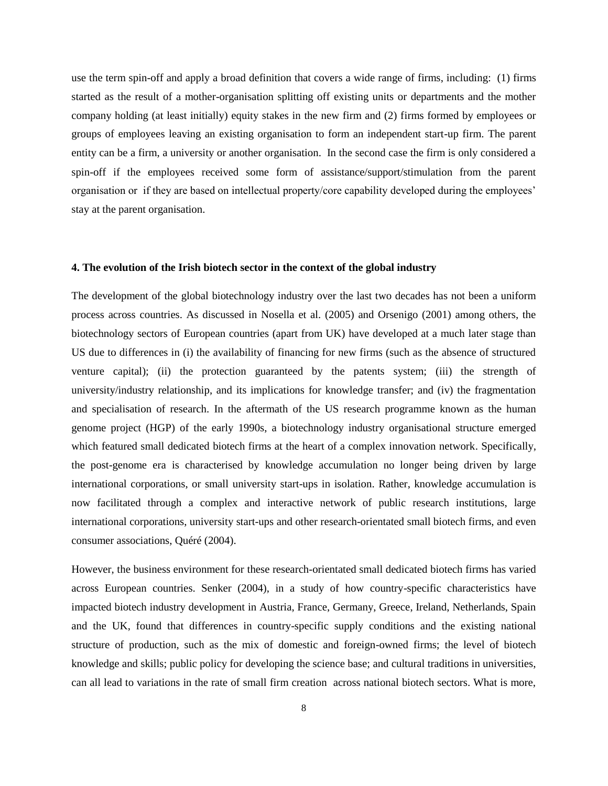use the term spin-off and apply a broad definition that covers a wide range of firms, including: (1) firms started as the result of a mother-organisation splitting off existing units or departments and the mother company holding (at least initially) equity stakes in the new firm and (2) firms formed by employees or groups of employees leaving an existing organisation to form an independent start-up firm. The parent entity can be a firm, a university or another organisation. In the second case the firm is only considered a spin-off if the employees received some form of assistance/support/stimulation from the parent organisation or if they are based on intellectual property/core capability developed during the employees" stay at the parent organisation.

## **4. The evolution of the Irish biotech sector in the context of the global industry**

The development of the global biotechnology industry over the last two decades has not been a uniform process across countries. As discussed in Nosella et al. (2005) and Orsenigo (2001) among others, the biotechnology sectors of European countries (apart from UK) have developed at a much later stage than US due to differences in (i) the availability of financing for new firms (such as the absence of structured venture capital); (ii) the protection guaranteed by the patents system; (iii) the strength of university/industry relationship, and its implications for knowledge transfer; and (iv) the fragmentation and specialisation of research. In the aftermath of the US research programme known as the human genome project (HGP) of the early 1990s, a biotechnology industry organisational structure emerged which featured small dedicated biotech firms at the heart of a complex innovation network. Specifically, the post-genome era is characterised by knowledge accumulation no longer being driven by large international corporations, or small university start-ups in isolation. Rather, knowledge accumulation is now facilitated through a complex and interactive network of public research institutions, large international corporations, university start-ups and other research-orientated small biotech firms, and even consumer associations, Quéré (2004).

However, the business environment for these research-orientated small dedicated biotech firms has varied across European countries. Senker (2004), in a study of how country-specific characteristics have impacted biotech industry development in Austria, France, Germany, Greece, Ireland, Netherlands, Spain and the UK, found that differences in country-specific supply conditions and the existing national structure of production, such as the mix of domestic and foreign-owned firms; the level of biotech knowledge and skills; public policy for developing the science base; and cultural traditions in universities, can all lead to variations in the rate of small firm creation across national biotech sectors. What is more,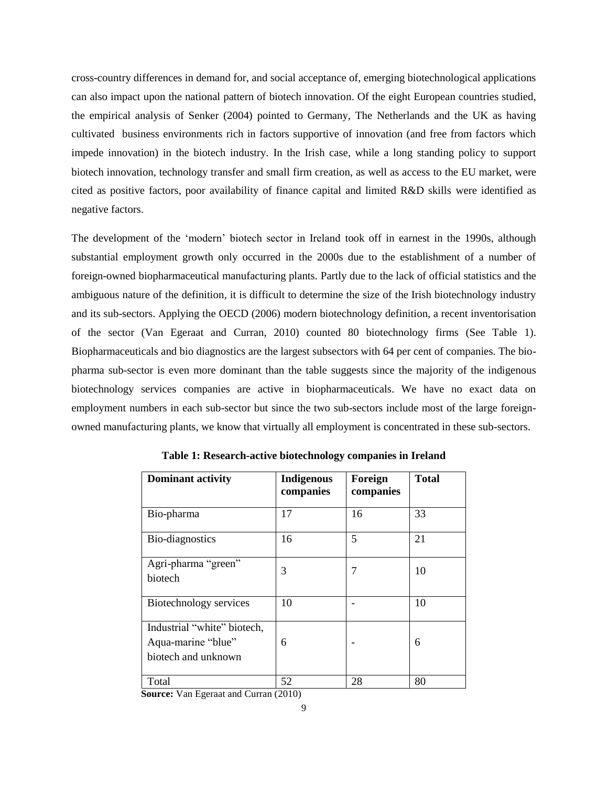cross-country differences in demand for, and social acceptance of, emerging biotechnological applications can also impact upon the national pattern of biotech innovation. Of the eight European countries studied, the empirical analysis of Senker (2004) pointed to Germany, The Netherlands and the UK as having cultivated business environments rich in factors supportive of innovation (and free from factors which impede innovation) in the biotech industry. In the Irish case, while a long standing policy to support biotech innovation, technology transfer and small firm creation, as well as access to the EU market, were cited as positive factors, poor availability of finance capital and limited R&D skills were identified as negative factors.

The development of the "modern" biotech sector in Ireland took off in earnest in the 1990s, although substantial employment growth only occurred in the 2000s due to the establishment of a number of foreign-owned biopharmaceutical manufacturing plants. Partly due to the lack of official statistics and the ambiguous nature of the definition, it is difficult to determine the size of the Irish biotechnology industry and its sub-sectors. Applying the OECD (2006) modern biotechnology definition, a recent inventorisation of the sector (Van Egeraat and Curran, 2010) counted 80 biotechnology firms (See Table 1). Biopharmaceuticals and bio diagnostics are the largest subsectors with 64 per cent of companies. The biopharma sub-sector is even more dominant than the table suggests since the majority of the indigenous biotechnology services companies are active in biopharmaceuticals. We have no exact data on employment numbers in each sub-sector but since the two sub-sectors include most of the large foreignowned manufacturing plants, we know that virtually all employment is concentrated in these sub-sectors.

| <b>Dominant activity</b>                                                 | <b>Indigenous</b><br>companies | Foreign<br>companies | <b>Total</b> |
|--------------------------------------------------------------------------|--------------------------------|----------------------|--------------|
| Bio-pharma                                                               | 17                             | 16                   | 33           |
| Bio-diagnostics                                                          | 16                             | 5                    | 21           |
| Agri-pharma "green"<br>biotech                                           | 3                              | 7                    | 10           |
| Biotechnology services                                                   | 10                             |                      | 10           |
| Industrial "white" biotech,<br>Aqua-marine "blue"<br>biotech and unknown | 6                              |                      | 6            |
| Total                                                                    | 52                             | 28                   | 80           |

**Table 1: Research-active biotechnology companies in Ireland**

 **Source:** Van Egeraat and Curran (2010)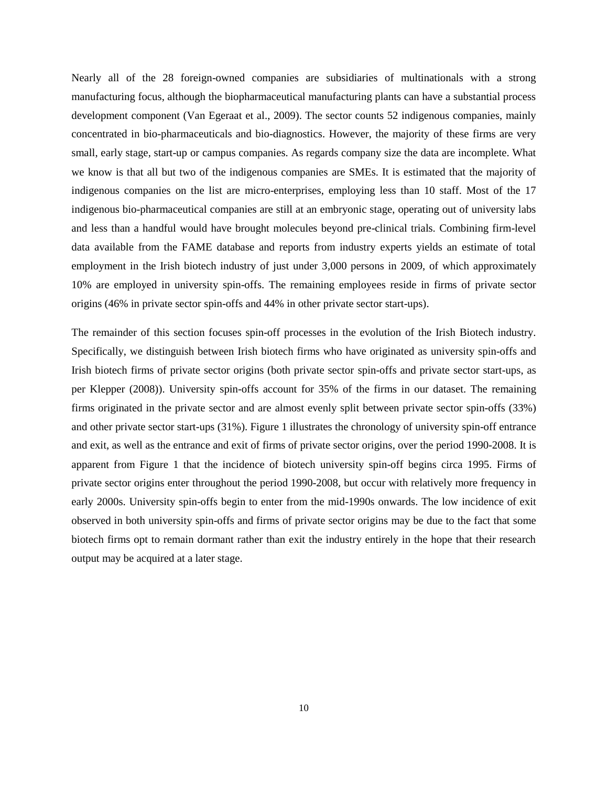Nearly all of the 28 foreign-owned companies are subsidiaries of multinationals with a strong manufacturing focus, although the biopharmaceutical manufacturing plants can have a substantial process development component (Van Egeraat et al., 2009). The sector counts 52 indigenous companies, mainly concentrated in bio-pharmaceuticals and bio-diagnostics. However, the majority of these firms are very small, early stage, start-up or campus companies. As regards company size the data are incomplete. What we know is that all but two of the indigenous companies are SMEs. It is estimated that the majority of indigenous companies on the list are micro-enterprises, employing less than 10 staff. Most of the 17 indigenous bio-pharmaceutical companies are still at an embryonic stage, operating out of university labs and less than a handful would have brought molecules beyond pre-clinical trials. Combining firm-level data available from the FAME database and reports from industry experts yields an estimate of total employment in the Irish biotech industry of just under 3,000 persons in 2009, of which approximately 10% are employed in university spin-offs. The remaining employees reside in firms of private sector origins (46% in private sector spin-offs and 44% in other private sector start-ups).

The remainder of this section focuses spin-off processes in the evolution of the Irish Biotech industry. Specifically, we distinguish between Irish biotech firms who have originated as university spin-offs and Irish biotech firms of private sector origins (both private sector spin-offs and private sector start-ups, as per Klepper (2008)). University spin-offs account for 35% of the firms in our dataset. The remaining firms originated in the private sector and are almost evenly split between private sector spin-offs (33%) and other private sector start-ups (31%). Figure 1 illustrates the chronology of university spin-off entrance and exit, as well as the entrance and exit of firms of private sector origins, over the period 1990-2008. It is apparent from Figure 1 that the incidence of biotech university spin-off begins circa 1995. Firms of private sector origins enter throughout the period 1990-2008, but occur with relatively more frequency in early 2000s. University spin-offs begin to enter from the mid-1990s onwards. The low incidence of exit observed in both university spin-offs and firms of private sector origins may be due to the fact that some biotech firms opt to remain dormant rather than exit the industry entirely in the hope that their research output may be acquired at a later stage.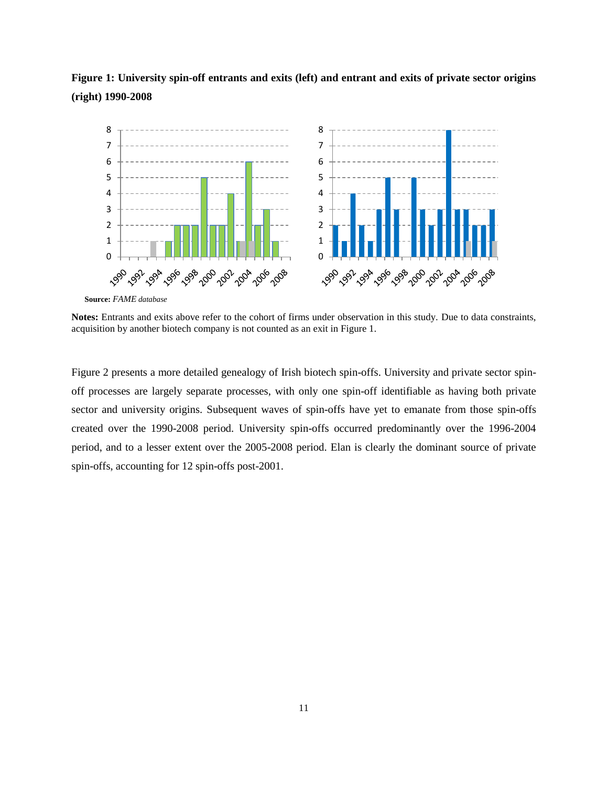



**Source:** *FAME database* 

**Notes:** Entrants and exits above refer to the cohort of firms under observation in this study. Due to data constraints, acquisition by another biotech company is not counted as an exit in Figure 1.

Figure 2 presents a more detailed genealogy of Irish biotech spin-offs. University and private sector spinoff processes are largely separate processes, with only one spin-off identifiable as having both private sector and university origins. Subsequent waves of spin-offs have yet to emanate from those spin-offs created over the 1990-2008 period. University spin-offs occurred predominantly over the 1996-2004 period, and to a lesser extent over the 2005-2008 period. Elan is clearly the dominant source of private spin-offs, accounting for 12 spin-offs post-2001.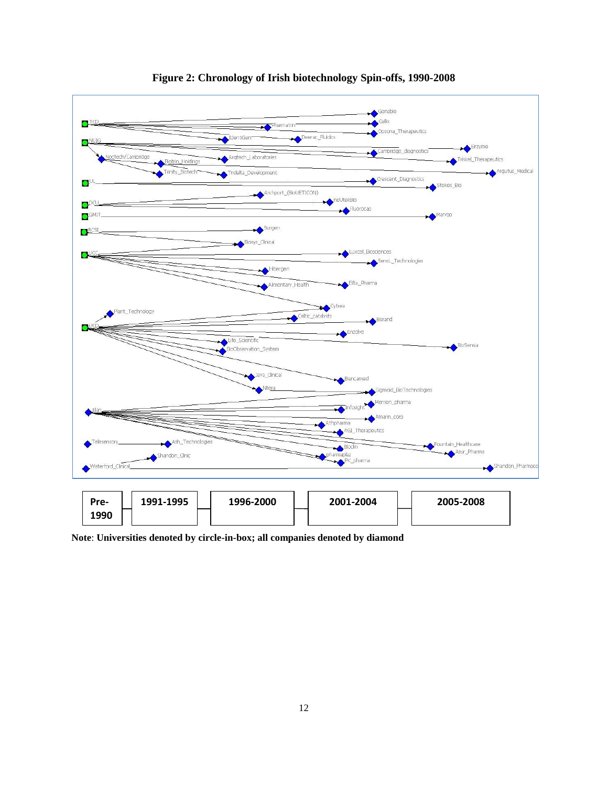

**Figure 2: Chronology of Irish biotechnology Spin-offs, 1990-2008**

**Note**: **Universities denoted by circle-in-box; all companies denoted by diamond**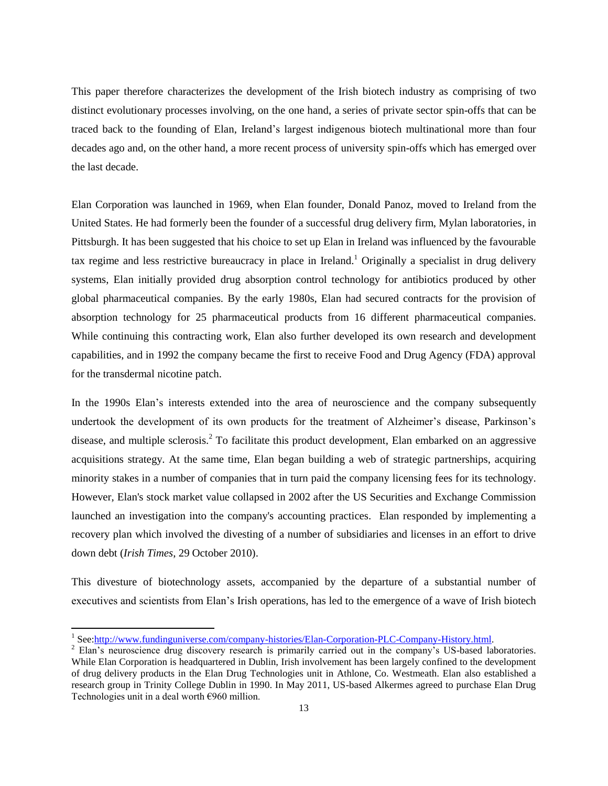This paper therefore characterizes the development of the Irish biotech industry as comprising of two distinct evolutionary processes involving, on the one hand, a series of private sector spin-offs that can be traced back to the founding of Elan, Ireland"s largest indigenous biotech multinational more than four decades ago and, on the other hand, a more recent process of university spin-offs which has emerged over the last decade.

Elan Corporation was launched in 1969, when Elan founder, Donald Panoz, moved to Ireland from the United States. He had formerly been the founder of a successful drug delivery firm, Mylan laboratories, in Pittsburgh. It has been suggested that his choice to set up Elan in Ireland was influenced by the favourable tax regime and less restrictive bureaucracy in place in Ireland.<sup>1</sup> Originally a specialist in drug delivery systems, Elan initially provided drug absorption control technology for antibiotics produced by other global pharmaceutical companies. By the early 1980s, Elan had secured contracts for the provision of absorption technology for 25 pharmaceutical products from 16 different pharmaceutical companies. While continuing this contracting work, Elan also further developed its own research and development capabilities, and in 1992 the company became the first to receive Food and Drug Agency (FDA) approval for the transdermal nicotine patch.

In the 1990s Elan"s interests extended into the area of neuroscience and the company subsequently undertook the development of its own products for the treatment of Alzheimer"s disease, Parkinson"s disease, and multiple sclerosis.<sup>2</sup> To facilitate this product development, Elan embarked on an aggressive acquisitions strategy. At the same time, Elan began building a web of strategic partnerships, acquiring minority stakes in a number of companies that in turn paid the company licensing fees for its technology. However, Elan's stock market value collapsed in 2002 after the US Securities and Exchange Commission launched an investigation into the company's accounting practices. Elan responded by implementing a recovery plan which involved the divesting of a number of subsidiaries and licenses in an effort to drive down debt (*Irish Times*, 29 October 2010).

This divesture of biotechnology assets, accompanied by the departure of a substantial number of executives and scientists from Elan"s Irish operations, has led to the emergence of a wave of Irish biotech

<sup>&</sup>lt;sup>1</sup> See: http://www.fundinguniverse.com/company-histories/Elan-Corporation-PLC-Company-History.html.

<sup>&</sup>lt;sup>2</sup> Elan's neuroscience drug discovery research is primarily carried out in the company's US-based laboratories. While Elan Corporation is headquartered in Dublin, Irish involvement has been largely confined to the development of drug delivery products in the Elan Drug Technologies unit in Athlone, Co. Westmeath. Elan also established a research group in Trinity College Dublin in 1990. In May 2011, US-based Alkermes agreed to purchase Elan Drug Technologies unit in a deal worth €960 million.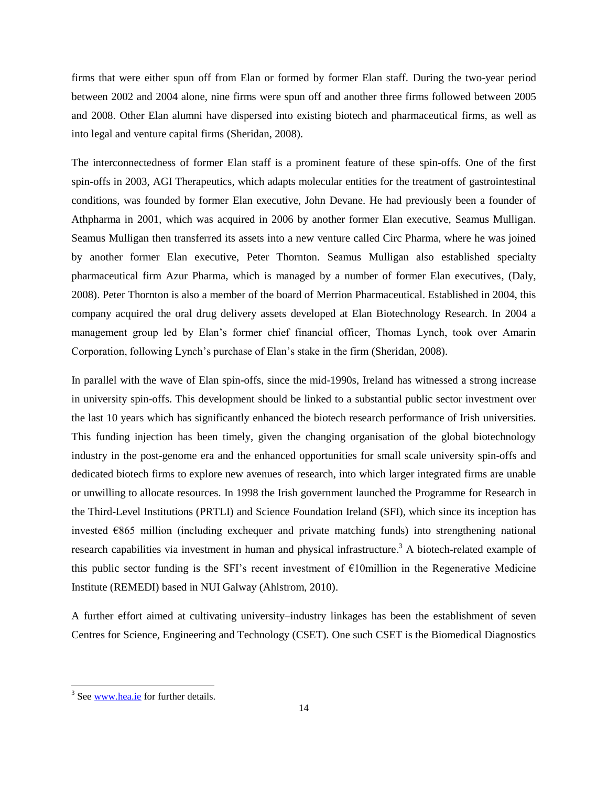firms that were either spun off from Elan or formed by former Elan staff. During the two-year period between 2002 and 2004 alone, nine firms were spun off and another three firms followed between 2005 and 2008. Other Elan alumni have dispersed into existing biotech and pharmaceutical firms, as well as into legal and venture capital firms (Sheridan, 2008).

The interconnectedness of former Elan staff is a prominent feature of these spin-offs. One of the first spin-offs in 2003, AGI Therapeutics, which adapts molecular entities for the treatment of gastrointestinal conditions, was founded by former Elan executive, John Devane. He had previously been a founder of Athpharma in 2001, which was acquired in 2006 by another former Elan executive, Seamus Mulligan. Seamus Mulligan then transferred its assets into a new venture called Circ Pharma, where he was joined by another former Elan executive, Peter Thornton. Seamus Mulligan also established specialty pharmaceutical firm Azur Pharma, which is managed by a number of former Elan executives, (Daly, 2008). Peter Thornton is also a member of the board of Merrion Pharmaceutical. Established in 2004, this company acquired the oral drug delivery assets developed at Elan Biotechnology Research. In 2004 a management group led by Elan"s former chief financial officer, Thomas Lynch, took over Amarin Corporation, following Lynch"s purchase of Elan"s stake in the firm (Sheridan, 2008).

In parallel with the wave of Elan spin-offs, since the mid-1990s, Ireland has witnessed a strong increase in university spin-offs. This development should be linked to a substantial public sector investment over the last 10 years which has significantly enhanced the biotech research performance of Irish universities. This funding injection has been timely, given the changing organisation of the global biotechnology industry in the post-genome era and the enhanced opportunities for small scale university spin-offs and dedicated biotech firms to explore new avenues of research, into which larger integrated firms are unable or unwilling to allocate resources. In 1998 the Irish government launched the Programme for Research in the Third-Level Institutions (PRTLI) and Science Foundation Ireland (SFI), which since its inception has invested €865 million (including exchequer and private matching funds) into strengthening national research capabilities via investment in human and physical infrastructure.<sup>3</sup> A biotech-related example of this public sector funding is the SFI's recent investment of  $E10$ million in the Regenerative Medicine Institute (REMEDI) based in NUI Galway (Ahlstrom, 2010).

A further effort aimed at cultivating university–industry linkages has been the establishment of seven Centres for Science, Engineering and Technology (CSET). One such CSET is the Biomedical Diagnostics

<sup>&</sup>lt;sup>3</sup> See <u>www.hea.ie</u> for further details.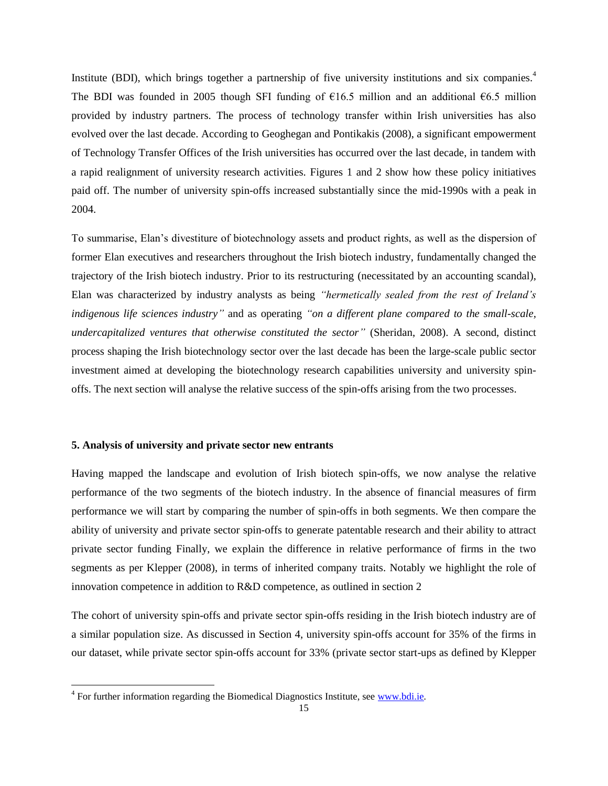Institute (BDI), which brings together a partnership of five university institutions and six companies.<sup>4</sup> The BDI was founded in 2005 though SFI funding of  $\epsilon$ 16.5 million and an additional  $\epsilon$ 6.5 million provided by industry partners. The process of technology transfer within Irish universities has also evolved over the last decade. According to Geoghegan and Pontikakis (2008), a significant empowerment of Technology Transfer Offices of the Irish universities has occurred over the last decade, in tandem with a rapid realignment of university research activities. Figures 1 and 2 show how these policy initiatives paid off. The number of university spin-offs increased substantially since the mid-1990s with a peak in 2004.

To summarise, Elan"s divestiture of biotechnology assets and product rights, as well as the dispersion of former Elan executives and researchers throughout the Irish biotech industry, fundamentally changed the trajectory of the Irish biotech industry. Prior to its restructuring (necessitated by an accounting scandal), Elan was characterized by industry analysts as being *"hermetically sealed from the rest of Ireland's indigenous life sciences industry"* and as operating *"on a different plane compared to the small-scale, undercapitalized ventures that otherwise constituted the sector"* (Sheridan, 2008). A second, distinct process shaping the Irish biotechnology sector over the last decade has been the large-scale public sector investment aimed at developing the biotechnology research capabilities university and university spinoffs. The next section will analyse the relative success of the spin-offs arising from the two processes.

# **5. Analysis of university and private sector new entrants**

Having mapped the landscape and evolution of Irish biotech spin-offs, we now analyse the relative performance of the two segments of the biotech industry. In the absence of financial measures of firm performance we will start by comparing the number of spin-offs in both segments. We then compare the ability of university and private sector spin-offs to generate patentable research and their ability to attract private sector funding Finally, we explain the difference in relative performance of firms in the two segments as per Klepper (2008), in terms of inherited company traits. Notably we highlight the role of innovation competence in addition to R&D competence, as outlined in section 2

The cohort of university spin-offs and private sector spin-offs residing in the Irish biotech industry are of a similar population size. As discussed in Section 4, university spin-offs account for 35% of the firms in our dataset, while private sector spin-offs account for 33% (private sector start-ups as defined by Klepper

 $\overline{\phantom{a}}$ 

<sup>&</sup>lt;sup>4</sup> For further information regarding the Biomedical Diagnostics Institute, see [www.bdi.ie](http://www.bdi.ie/).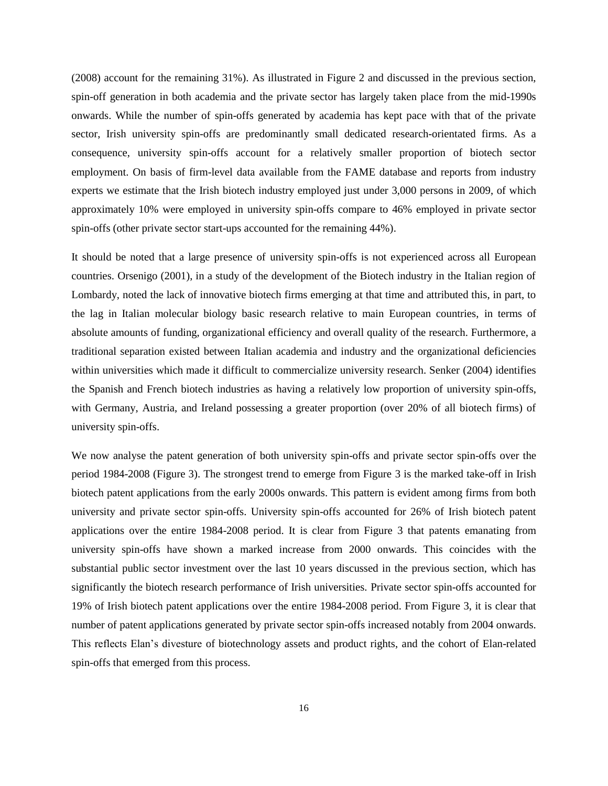(2008) account for the remaining 31%). As illustrated in Figure 2 and discussed in the previous section, spin-off generation in both academia and the private sector has largely taken place from the mid-1990s onwards. While the number of spin-offs generated by academia has kept pace with that of the private sector, Irish university spin-offs are predominantly small dedicated research-orientated firms. As a consequence, university spin-offs account for a relatively smaller proportion of biotech sector employment. On basis of firm-level data available from the FAME database and reports from industry experts we estimate that the Irish biotech industry employed just under 3,000 persons in 2009, of which approximately 10% were employed in university spin-offs compare to 46% employed in private sector spin-offs (other private sector start-ups accounted for the remaining 44%).

It should be noted that a large presence of university spin-offs is not experienced across all European countries. Orsenigo (2001), in a study of the development of the Biotech industry in the Italian region of Lombardy, noted the lack of innovative biotech firms emerging at that time and attributed this, in part, to the lag in Italian molecular biology basic research relative to main European countries, in terms of absolute amounts of funding, organizational efficiency and overall quality of the research. Furthermore, a traditional separation existed between Italian academia and industry and the organizational deficiencies within universities which made it difficult to commercialize university research. Senker (2004) identifies the Spanish and French biotech industries as having a relatively low proportion of university spin-offs, with Germany, Austria, and Ireland possessing a greater proportion (over 20% of all biotech firms) of university spin-offs.

We now analyse the patent generation of both university spin-offs and private sector spin-offs over the period 1984-2008 (Figure 3). The strongest trend to emerge from Figure 3 is the marked take-off in Irish biotech patent applications from the early 2000s onwards. This pattern is evident among firms from both university and private sector spin-offs. University spin-offs accounted for 26% of Irish biotech patent applications over the entire 1984-2008 period. It is clear from Figure 3 that patents emanating from university spin-offs have shown a marked increase from 2000 onwards. This coincides with the substantial public sector investment over the last 10 years discussed in the previous section, which has significantly the biotech research performance of Irish universities. Private sector spin-offs accounted for 19% of Irish biotech patent applications over the entire 1984-2008 period. From Figure 3, it is clear that number of patent applications generated by private sector spin-offs increased notably from 2004 onwards. This reflects Elan"s divesture of biotechnology assets and product rights, and the cohort of Elan-related spin-offs that emerged from this process.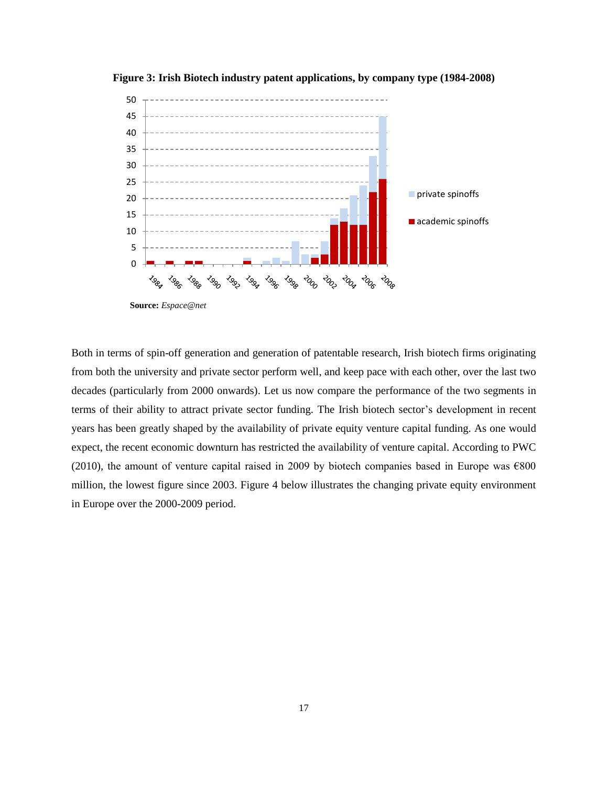

**Figure 3: Irish Biotech industry patent applications, by company type (1984-2008)**

Both in terms of spin-off generation and generation of patentable research, Irish biotech firms originating from both the university and private sector perform well, and keep pace with each other, over the last two decades (particularly from 2000 onwards). Let us now compare the performance of the two segments in terms of their ability to attract private sector funding. The Irish biotech sector"s development in recent years has been greatly shaped by the availability of private equity venture capital funding. As one would expect, the recent economic downturn has restricted the availability of venture capital. According to PWC (2010), the amount of venture capital raised in 2009 by biotech companies based in Europe was  $\epsilon$ 800 million, the lowest figure since 2003. Figure 4 below illustrates the changing private equity environment in Europe over the 2000-2009 period.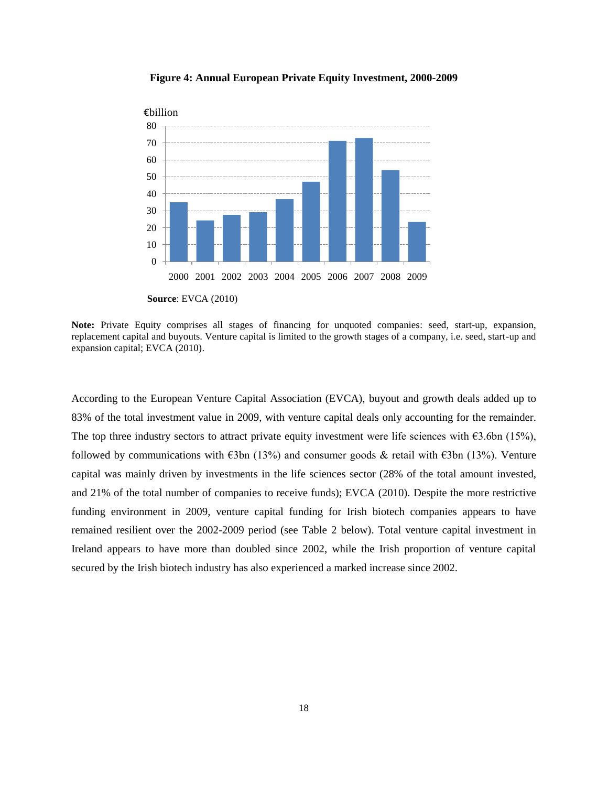

**Figure 4: Annual European Private Equity Investment, 2000-2009**

**Note:** Private Equity comprises all stages of financing for unquoted companies: seed, start-up, expansion, replacement capital and buyouts. Venture capital is limited to the growth stages of a company, i.e. seed, start-up and expansion capital; EVCA (2010).

According to the European Venture Capital Association (EVCA), buyout and growth deals added up to 83% of the total investment value in 2009, with venture capital deals only accounting for the remainder. The top three industry sectors to attract private equity investment were life sciences with  $\epsilon$ 3.6bn (15%), followed by communications with  $\epsilon$ 3bn (13%) and consumer goods & retail with  $\epsilon$ 3bn (13%). Venture capital was mainly driven by investments in the life sciences sector (28% of the total amount invested, and 21% of the total number of companies to receive funds); EVCA (2010). Despite the more restrictive funding environment in 2009, venture capital funding for Irish biotech companies appears to have remained resilient over the 2002-2009 period (see Table 2 below). Total venture capital investment in Ireland appears to have more than doubled since 2002, while the Irish proportion of venture capital secured by the Irish biotech industry has also experienced a marked increase since 2002.

**Source**: EVCA (2010)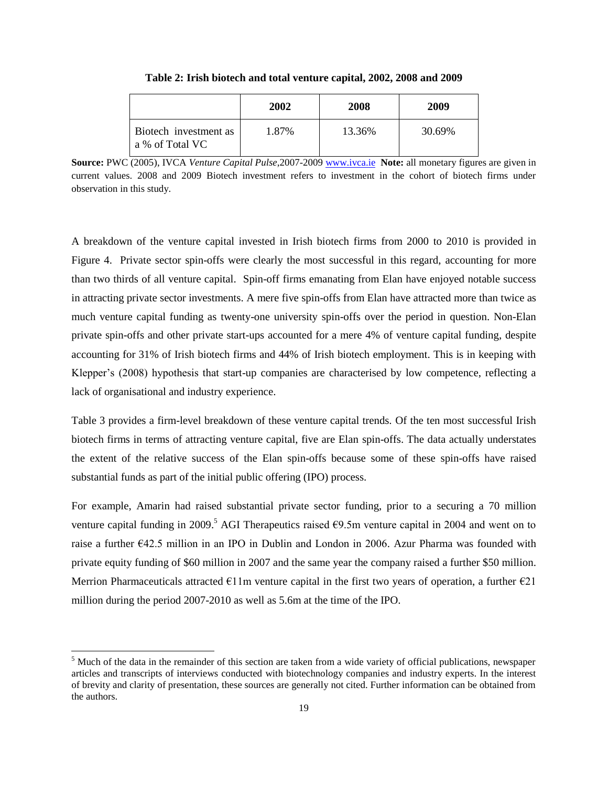|                                          | 2002  | 2008   | 2009   |
|------------------------------------------|-------|--------|--------|
| Biotech investment as<br>a % of Total VC | 1.87% | 13.36% | 30.69% |

**Table 2: Irish biotech and total venture capital, 2002, 2008 and 2009**

**Source:** PWC (2005), IVCA *Venture Capital Pulse*,2007-2009 [www.ivca.ie](http://www.ivca.ie/) **Note:** all monetary figures are given in current values. 2008 and 2009 Biotech investment refers to investment in the cohort of biotech firms under observation in this study.

A breakdown of the venture capital invested in Irish biotech firms from 2000 to 2010 is provided in Figure 4. Private sector spin-offs were clearly the most successful in this regard, accounting for more than two thirds of all venture capital. Spin-off firms emanating from Elan have enjoyed notable success in attracting private sector investments. A mere five spin-offs from Elan have attracted more than twice as much venture capital funding as twenty-one university spin-offs over the period in question. Non-Elan private spin-offs and other private start-ups accounted for a mere 4% of venture capital funding, despite accounting for 31% of Irish biotech firms and 44% of Irish biotech employment. This is in keeping with Klepper's (2008) hypothesis that start-up companies are characterised by low competence, reflecting a lack of organisational and industry experience.

Table 3 provides a firm-level breakdown of these venture capital trends. Of the ten most successful Irish biotech firms in terms of attracting venture capital, five are Elan spin-offs. The data actually understates the extent of the relative success of the Elan spin-offs because some of these spin-offs have raised substantial funds as part of the initial public offering (IPO) process.

For example, Amarin had raised substantial private sector funding, prior to a securing a 70 million venture capital funding in 2009.<sup>5</sup> AGI Therapeutics raised  $\epsilon$ 9.5m venture capital in 2004 and went on to raise a further  $\epsilon$ 42.5 million in an IPO in Dublin and London in 2006. Azur Pharma was founded with private equity funding of \$60 million in 2007 and the same year the company raised a further \$50 million. Merrion Pharmaceuticals attracted  $\epsilon$ 11m venture capital in the first two years of operation, a further  $\epsilon$ 21 million during the period 2007-2010 as well as 5.6m at the time of the IPO.

 $\overline{\phantom{a}}$ 

 $<sup>5</sup>$  Much of the data in the remainder of this section are taken from a wide variety of official publications, newspaper</sup> articles and transcripts of interviews conducted with biotechnology companies and industry experts. In the interest of brevity and clarity of presentation, these sources are generally not cited. Further information can be obtained from the authors.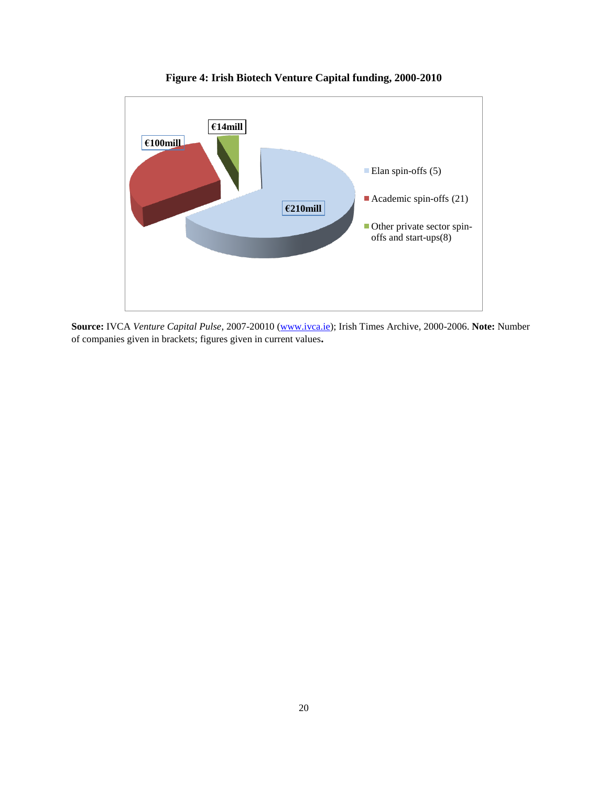

**Figure 4: Irish Biotech Venture Capital funding, 2000-2010**

**Source:** IVCA *Venture Capital Pulse*, 2007-20010 [\(www.ivca.ie\)](http://www.ivca.ie/); Irish Times Archive, 2000-2006. **Note:** Number of companies given in brackets; figures given in current values**.**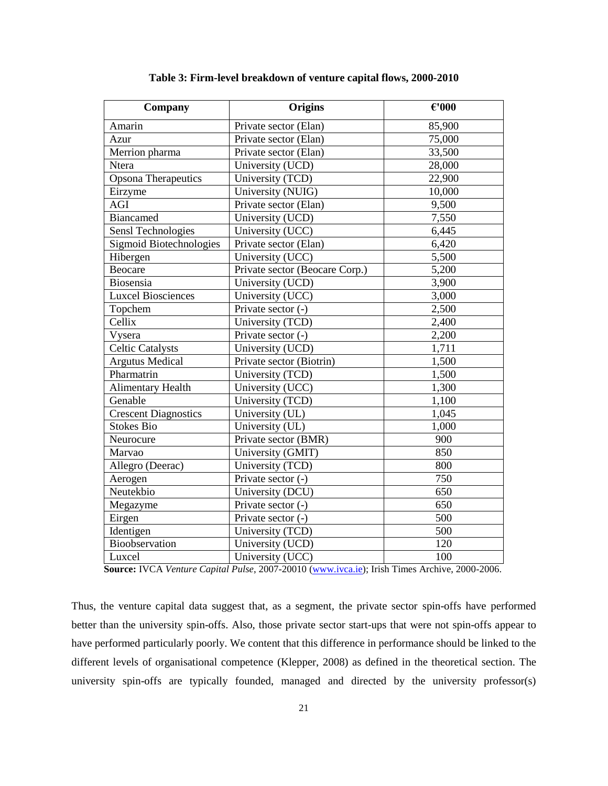| Company                     | Origins                        | $\epsilon$ '000 |
|-----------------------------|--------------------------------|-----------------|
| Amarin                      | Private sector (Elan)          | 85,900          |
| Azur                        | Private sector (Elan)          | 75,000          |
| Merrion pharma              | Private sector (Elan)          | 33,500          |
| Ntera                       | University (UCD)               | 28,000          |
| Opsona Therapeutics         | University (TCD)               | 22,900          |
| Eirzyme                     | University (NUIG)              | 10,000          |
| AGI                         | Private sector (Elan)          | 9,500           |
| <b>Biancamed</b>            | University (UCD)               | 7,550           |
| Sensl Technologies          | University (UCC)               | 6,445           |
| Sigmoid Biotechnologies     | Private sector (Elan)          | 6,420           |
| Hibergen                    | University (UCC)               | 5,500           |
| Beocare                     | Private sector (Beocare Corp.) | 5,200           |
| Biosensia                   | University (UCD)               | 3,900           |
| <b>Luxcel Biosciences</b>   | University (UCC)               | 3,000           |
| Topchem                     | Private sector (-)             | 2,500           |
| Cellix                      | University (TCD)               | 2,400           |
| Vysera                      | Private sector (-)             | 2,200           |
| <b>Celtic Catalysts</b>     | University (UCD)               | 1,711           |
| <b>Argutus Medical</b>      | Private sector (Biotrin)       | 1,500           |
| Pharmatrin                  | University (TCD)               | 1,500           |
| Alimentary Health           | University (UCC)               | 1,300           |
| Genable                     | University (TCD)               | 1,100           |
| <b>Crescent Diagnostics</b> | University (UL)                | 1,045           |
| <b>Stokes Bio</b>           | University (UL)                | 1,000           |
| Neurocure                   | Private sector (BMR)           | 900             |
| Marvao                      | University (GMIT)              | 850             |
| Allegro (Deerac)            | University (TCD)               | 800             |
| Aerogen                     | Private sector (-)             | 750             |
| Neutekbio                   | University (DCU)               | 650             |
| Megazyme                    | Private sector (-)             | 650             |
| Eirgen                      | Private sector (-)             | 500             |
| Identigen                   | University (TCD)               | 500             |
| Bioobservation              | University (UCD)               | 120             |
| Luxcel                      | University (UCC)               | 100             |

**Table 3: Firm-level breakdown of venture capital flows, 2000-2010**

 **Source:** IVCA *Venture Capital Pulse*, 2007-20010 [\(www.ivca.ie\)](http://www.ivca.ie/); Irish Times Archive, 2000-2006.

Thus, the venture capital data suggest that, as a segment, the private sector spin-offs have performed better than the university spin-offs. Also, those private sector start-ups that were not spin-offs appear to have performed particularly poorly. We content that this difference in performance should be linked to the different levels of organisational competence (Klepper, 2008) as defined in the theoretical section. The university spin-offs are typically founded, managed and directed by the university professor(s)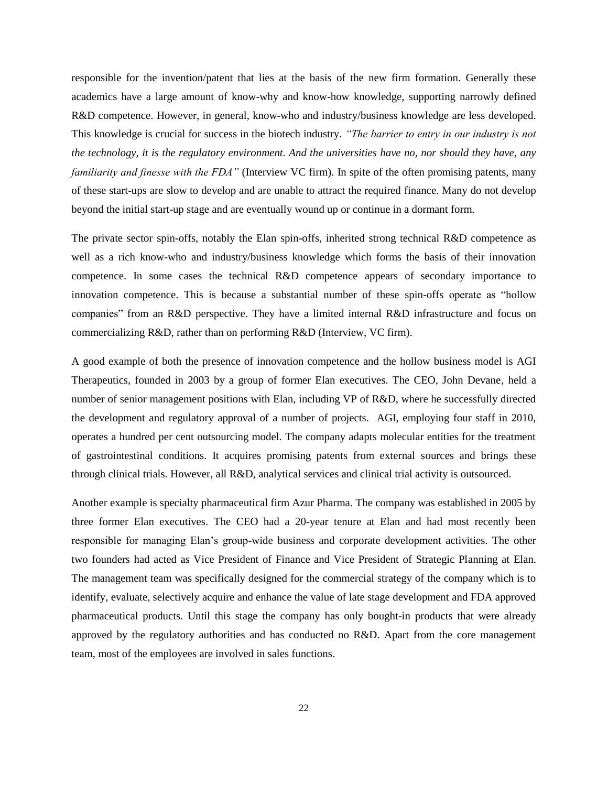responsible for the invention/patent that lies at the basis of the new firm formation. Generally these academics have a large amount of know-why and know-how knowledge, supporting narrowly defined R&D competence. However, in general, know-who and industry/business knowledge are less developed. This knowledge is crucial for success in the biotech industry. *"The barrier to entry in our industry is not the technology, it is the regulatory environment. And the universities have no, nor should they have, any familiarity and finesse with the FDA"* (Interview VC firm). In spite of the often promising patents, many of these start-ups are slow to develop and are unable to attract the required finance. Many do not develop beyond the initial start-up stage and are eventually wound up or continue in a dormant form.

The private sector spin-offs, notably the Elan spin-offs, inherited strong technical R&D competence as well as a rich know-who and industry/business knowledge which forms the basis of their innovation competence. In some cases the technical R&D competence appears of secondary importance to innovation competence. This is because a substantial number of these spin-offs operate as "hollow companies" from an R&D perspective. They have a limited internal R&D infrastructure and focus on commercializing R&D, rather than on performing R&D (Interview, VC firm).

A good example of both the presence of innovation competence and the hollow business model is AGI Therapeutics, founded in 2003 by a group of former Elan executives. The CEO, John Devane, held a number of senior management positions with Elan, including VP of R&D, where he successfully directed the development and regulatory approval of a number of projects. AGI, employing four staff in 2010, operates a hundred per cent outsourcing model. The company adapts molecular entities for the treatment of gastrointestinal conditions. It acquires promising patents from external sources and brings these through clinical trials. However, all R&D, analytical services and clinical trial activity is outsourced.

Another example is specialty pharmaceutical firm Azur Pharma. The company was established in 2005 by three former Elan executives. The CEO had a 20-year tenure at Elan and had most recently been responsible for managing Elan"s group-wide business and corporate development activities. The other two founders had acted as Vice President of Finance and Vice President of Strategic Planning at Elan. The management team was specifically designed for the commercial strategy of the company which is to identify, evaluate, selectively acquire and enhance the value of late stage development and FDA approved pharmaceutical products. Until this stage the company has only bought-in products that were already approved by the regulatory authorities and has conducted no R&D. Apart from the core management team, most of the employees are involved in sales functions.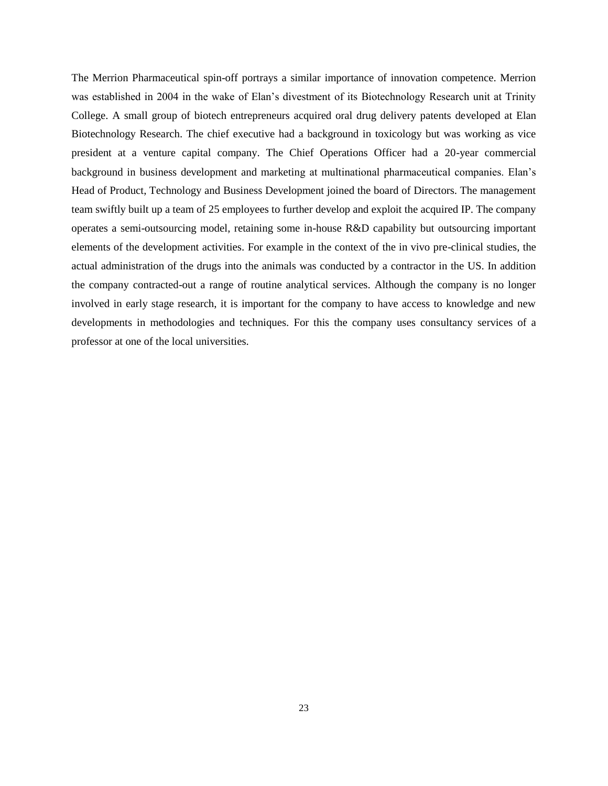The Merrion Pharmaceutical spin-off portrays a similar importance of innovation competence. Merrion was established in 2004 in the wake of Elan"s divestment of its Biotechnology Research unit at Trinity College. A small group of biotech entrepreneurs acquired oral drug delivery patents developed at Elan Biotechnology Research. The chief executive had a background in toxicology but was working as vice president at a venture capital company. The Chief Operations Officer had a 20-year commercial background in business development and marketing at multinational pharmaceutical companies. Elan"s Head of Product, Technology and Business Development joined the board of Directors. The management team swiftly built up a team of 25 employees to further develop and exploit the acquired IP. The company operates a semi-outsourcing model, retaining some in-house R&D capability but outsourcing important elements of the development activities. For example in the context of the in vivo pre-clinical studies, the actual administration of the drugs into the animals was conducted by a contractor in the US. In addition the company contracted-out a range of routine analytical services. Although the company is no longer involved in early stage research, it is important for the company to have access to knowledge and new developments in methodologies and techniques. For this the company uses consultancy services of a professor at one of the local universities.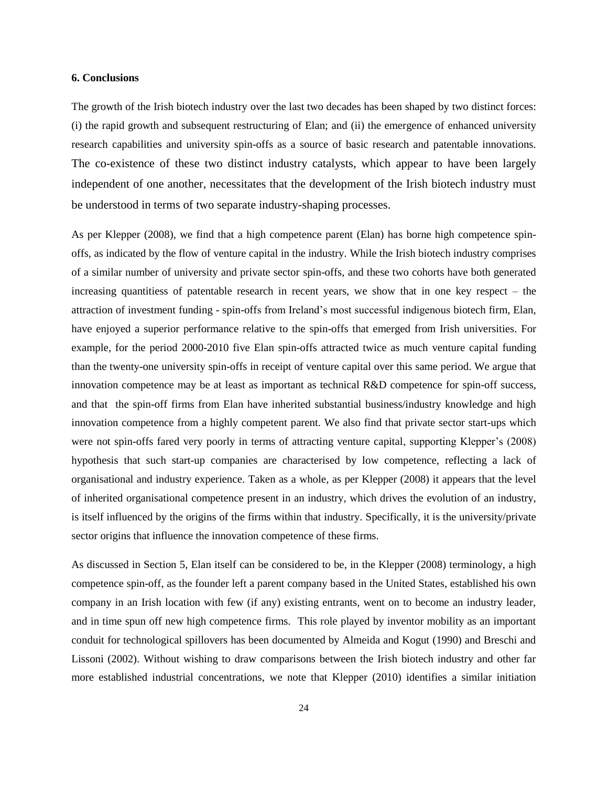#### **6. Conclusions**

The growth of the Irish biotech industry over the last two decades has been shaped by two distinct forces: (i) the rapid growth and subsequent restructuring of Elan; and (ii) the emergence of enhanced university research capabilities and university spin-offs as a source of basic research and patentable innovations. The co-existence of these two distinct industry catalysts, which appear to have been largely independent of one another, necessitates that the development of the Irish biotech industry must be understood in terms of two separate industry-shaping processes.

As per Klepper (2008), we find that a high competence parent (Elan) has borne high competence spinoffs, as indicated by the flow of venture capital in the industry. While the Irish biotech industry comprises of a similar number of university and private sector spin-offs, and these two cohorts have both generated increasing quantitiess of patentable research in recent years, we show that in one key respect – the attraction of investment funding - spin-offs from Ireland"s most successful indigenous biotech firm, Elan, have enjoyed a superior performance relative to the spin-offs that emerged from Irish universities. For example, for the period 2000-2010 five Elan spin-offs attracted twice as much venture capital funding than the twenty-one university spin-offs in receipt of venture capital over this same period. We argue that innovation competence may be at least as important as technical R&D competence for spin-off success, and that the spin-off firms from Elan have inherited substantial business/industry knowledge and high innovation competence from a highly competent parent. We also find that private sector start-ups which were not spin-offs fared very poorly in terms of attracting venture capital, supporting Klepper's (2008) hypothesis that such start-up companies are characterised by low competence, reflecting a lack of organisational and industry experience. Taken as a whole, as per Klepper (2008) it appears that the level of inherited organisational competence present in an industry, which drives the evolution of an industry, is itself influenced by the origins of the firms within that industry. Specifically, it is the university/private sector origins that influence the innovation competence of these firms.

As discussed in Section 5, Elan itself can be considered to be, in the Klepper (2008) terminology, a high competence spin-off, as the founder left a parent company based in the United States, established his own company in an Irish location with few (if any) existing entrants, went on to become an industry leader, and in time spun off new high competence firms. This role played by inventor mobility as an important conduit for technological spillovers has been documented by Almeida and Kogut (1990) and Breschi and Lissoni (2002). Without wishing to draw comparisons between the Irish biotech industry and other far more established industrial concentrations, we note that Klepper (2010) identifies a similar initiation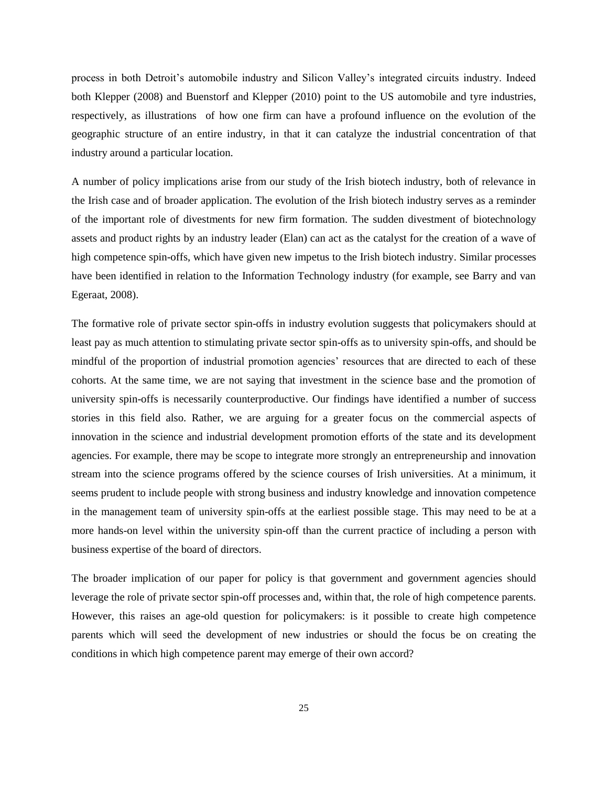process in both Detroit"s automobile industry and Silicon Valley"s integrated circuits industry. Indeed both Klepper (2008) and Buenstorf and Klepper (2010) point to the US automobile and tyre industries, respectively, as illustrations of how one firm can have a profound influence on the evolution of the geographic structure of an entire industry, in that it can catalyze the industrial concentration of that industry around a particular location.

A number of policy implications arise from our study of the Irish biotech industry, both of relevance in the Irish case and of broader application. The evolution of the Irish biotech industry serves as a reminder of the important role of divestments for new firm formation. The sudden divestment of biotechnology assets and product rights by an industry leader (Elan) can act as the catalyst for the creation of a wave of high competence spin-offs, which have given new impetus to the Irish biotech industry. Similar processes have been identified in relation to the Information Technology industry (for example, see Barry and van Egeraat, 2008).

The formative role of private sector spin-offs in industry evolution suggests that policymakers should at least pay as much attention to stimulating private sector spin-offs as to university spin-offs, and should be mindful of the proportion of industrial promotion agencies" resources that are directed to each of these cohorts. At the same time, we are not saying that investment in the science base and the promotion of university spin-offs is necessarily counterproductive. Our findings have identified a number of success stories in this field also. Rather, we are arguing for a greater focus on the commercial aspects of innovation in the science and industrial development promotion efforts of the state and its development agencies. For example, there may be scope to integrate more strongly an entrepreneurship and innovation stream into the science programs offered by the science courses of Irish universities. At a minimum, it seems prudent to include people with strong business and industry knowledge and innovation competence in the management team of university spin-offs at the earliest possible stage. This may need to be at a more hands-on level within the university spin-off than the current practice of including a person with business expertise of the board of directors.

The broader implication of our paper for policy is that government and government agencies should leverage the role of private sector spin-off processes and, within that, the role of high competence parents. However, this raises an age-old question for policymakers: is it possible to create high competence parents which will seed the development of new industries or should the focus be on creating the conditions in which high competence parent may emerge of their own accord?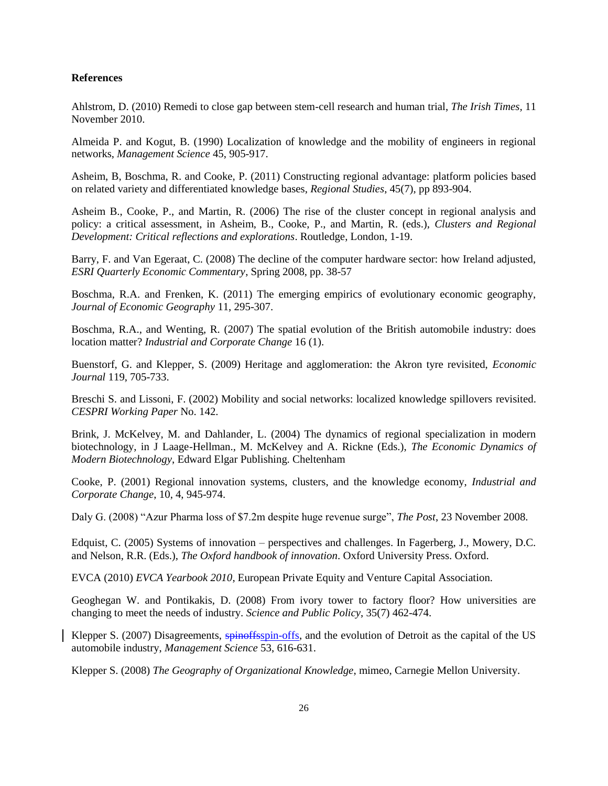### **References**

Ahlstrom, D. (2010) Remedi to close gap between stem-cell research and human trial, *The Irish Times,* 11 November 2010.

Almeida P. and Kogut, B. (1990) Localization of knowledge and the mobility of engineers in regional networks, *Management Science* 45, 905-917.

Asheim, B, Boschma, R. and Cooke, P. (2011) Constructing regional advantage: platform policies based on related variety and differentiated knowledge bases, *Regional Studies*, 45(7), pp 893-904.

Asheim B., Cooke, P., and Martin, R. (2006) The rise of the cluster concept in regional analysis and policy: a critical assessment, in Asheim, B., Cooke, P., and Martin, R. (eds.), *Clusters and Regional Development: Critical reflections and explorations*. Routledge, London, 1-19.

Barry, F. and Van Egeraat, C. (2008) The decline of the computer hardware sector: how Ireland adjusted, *ESRI Quarterly Economic Commentary*, Spring 2008, pp. 38-57

Boschma, R.A. and Frenken, K. (2011) The emerging empirics of evolutionary economic geography, *Journal of Economic Geography* 11, 295-307.

Boschma, R.A., and Wenting, R. (2007) The spatial evolution of the British automobile industry: does location matter? *Industrial and Corporate Change* 16 (1).

Buenstorf, G. and Klepper, S. (2009) Heritage and agglomeration: the Akron tyre revisited, *Economic Journal* 119, 705-733.

Breschi S. and Lissoni, F. (2002) Mobility and social networks: localized knowledge spillovers revisited. *CESPRI Working Paper* No. 142.

Brink, J. McKelvey, M. and Dahlander, L. (2004) The dynamics of regional specialization in modern biotechnology, in J Laage-Hellman., M. McKelvey and A. Rickne (Eds.), *The Economic Dynamics of Modern Biotechnology*, Edward Elgar Publishing. Cheltenham

Cooke, P. (2001) Regional innovation systems, clusters, and the knowledge economy, *Industrial and Corporate Change*, 10, 4, 945-974.

Daly G. (2008) "Azur Pharma loss of \$7.2m despite huge revenue surge", *The Post*, 23 November 2008.

Edquist, C. (2005) Systems of innovation – perspectives and challenges. In Fagerberg, J., Mowery, D.C. and Nelson, R.R. (Eds.), *The Oxford handbook of innovation*. Oxford University Press. Oxford.

EVCA (2010) *EVCA Yearbook 2010*, European Private Equity and Venture Capital Association.

Geoghegan W. and Pontikakis, D. (2008) From ivory tower to factory floor? How universities are changing to meet the needs of industry. *Science and Public Policy*, 35(7) 462-474.

Klepper S. (2007) Disagreements, spinoffsspin-offs, and the evolution of Detroit as the capital of the US automobile industry, *Management Science* 53, 616-631.

Klepper S. (2008) *The Geography of Organizational Knowledge*, mimeo, Carnegie Mellon University.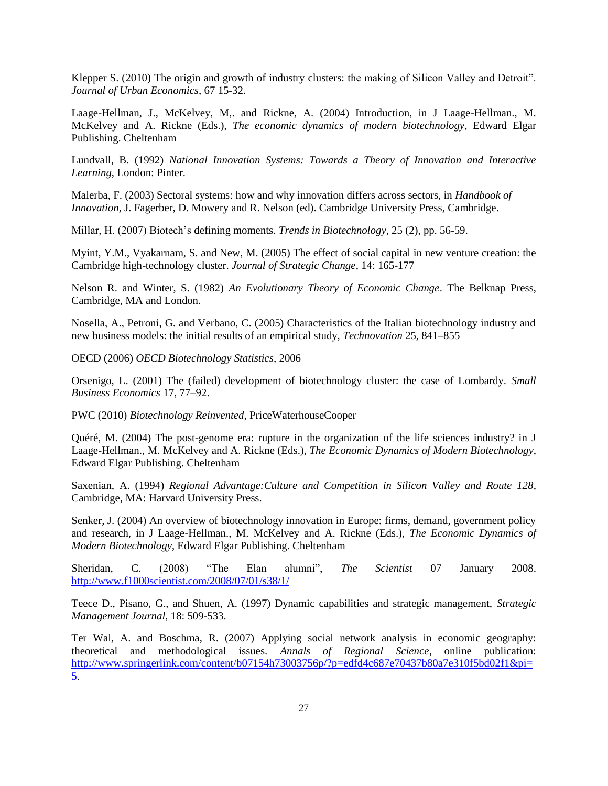Klepper S. (2010) The origin and growth of industry clusters: the making of Silicon Valley and Detroit". *Journal of Urban Economics*, 67 15-32.

Laage-Hellman, J., McKelvey, M,. and Rickne, A. (2004) Introduction, in J Laage-Hellman., M. McKelvey and A. Rickne (Eds.), *The economic dynamics of modern biotechnology*, Edward Elgar Publishing. Cheltenham

Lundvall, B. (1992) *National Innovation Systems: Towards a Theory of Innovation and Interactive Learning*, London: Pinter.

Malerba, F. (2003) Sectoral systems: how and why innovation differs across sectors, in *Handbook of Innovation*, J. Fagerber, D. Mowery and R. Nelson (ed). Cambridge University Press, Cambridge.

Millar, H. (2007) Biotech"s defining moments. *Trends in Biotechnology*, 25 (2), pp. 56-59.

Myint, Y.M., Vyakarnam, S. and New, M. (2005) The effect of social capital in new venture creation: the Cambridge high-technology cluster. *Journal of Strategic Change*, 14: 165-177

Nelson R. and Winter, S. (1982) *An Evolutionary Theory of Economic Change*. The Belknap Press, Cambridge, MA and London.

Nosella, A., Petroni, G. and Verbano, C. (2005) Characteristics of the Italian biotechnology industry and new business models: the initial results of an empirical study, *Technovation* 25, 841–855

OECD (2006) *OECD Biotechnology Statistics*, 2006

Orsenigo, L. (2001) The (failed) development of biotechnology cluster: the case of Lombardy. *Small Business Economics* 17, 77–92.

PWC (2010) *Biotechnology Reinvented,* PriceWaterhouseCooper

Quéré, M. (2004) The post-genome era: rupture in the organization of the life sciences industry? in J Laage-Hellman., M. McKelvey and A. Rickne (Eds.), *The Economic Dynamics of Modern Biotechnology*, Edward Elgar Publishing. Cheltenham

Saxenian, A. (1994) *Regional Advantage:Culture and Competition in Silicon Valley and Route 128*, Cambridge, MA: Harvard University Press.

Senker, J. (2004) An overview of biotechnology innovation in Europe: firms, demand, government policy and research, in J Laage-Hellman., M. McKelvey and A. Rickne (Eds.), *The Economic Dynamics of Modern Biotechnology*, Edward Elgar Publishing. Cheltenham

Sheridan, C. (2008) "The Elan alumni", *The Scientist* 07 January 2008. <http://www.f1000scientist.com/2008/07/01/s38/1/>

Teece D., Pisano, G., and Shuen, A. (1997) Dynamic capabilities and strategic management, *Strategic Management Journal*, 18: 509-533.

Ter Wal, A. and Boschma, R. (2007) Applying social network analysis in economic geography: theoretical and methodological issues. *Annals of Regional Science*, online publication: [http://www.springerlink.com/content/b07154h73003756p/?p=edfd4c687e70437b80a7e310f5bd02f1&pi=](http://www.springerlink.com/content/b07154h73003756p/?p=edfd4c687e70437b80a7e310f5bd02f1&pi=5) [5.](http://www.springerlink.com/content/b07154h73003756p/?p=edfd4c687e70437b80a7e310f5bd02f1&pi=5)